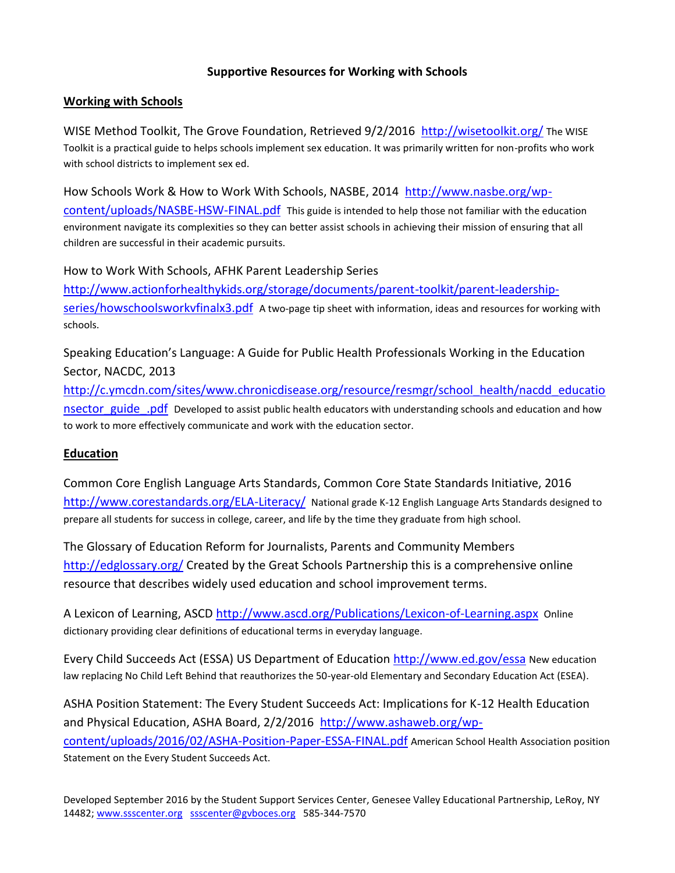# **Supportive Resources for Working with Schools**

## **Working with Schools**

WISE Method Toolkit, The Grove Foundation, Retrieved 9/2/2016 <http://wisetoolkit.org/> The WISE Toolkit is a practical guide to helps schools implement sex education. It was primarily written for non-profits who work with school districts to implement sex ed.

#### How Schools Work & How to Work With Schools, NASBE, 2014 [http://www.nasbe.org/wp-](http://www.nasbe.org/wp-content/uploads/NASBE-HSW-FINAL.pdf)

[content/uploads/NASBE-HSW-FINAL.pdf](http://www.nasbe.org/wp-content/uploads/NASBE-HSW-FINAL.pdf) This guide is intended to help those not familiar with the education environment navigate its complexities so they can better assist schools in achieving their mission of ensuring that all children are successful in their academic pursuits.

How to Work With Schools, AFHK Parent Leadership Series [http://www.actionforhealthykids.org/storage/documents/parent-toolkit/parent-leadership](http://www.actionforhealthykids.org/storage/documents/parent-toolkit/parent-leadership-series/howschoolsworkvfinalx3.pdf)[series/howschoolsworkvfinalx3.pdf](http://www.actionforhealthykids.org/storage/documents/parent-toolkit/parent-leadership-series/howschoolsworkvfinalx3.pdf) A two-page tip sheet with information, ideas and resources for working with schools.

Speaking Education's Language: A Guide for Public Health Professionals Working in the Education Sector, NACDC, 2013

[http://c.ymcdn.com/sites/www.chronicdisease.org/resource/resmgr/school\\_health/nacdd\\_educatio](http://c.ymcdn.com/sites/www.chronicdisease.org/resource/resmgr/school_health/nacdd_educationsector_guide_.pdf) [nsector\\_guide\\_.pdf](http://c.ymcdn.com/sites/www.chronicdisease.org/resource/resmgr/school_health/nacdd_educationsector_guide_.pdf) Developed to assist public health educators with understanding schools and education and how to work to more effectively communicate and work with the education sector.

## **Education**

Common Core English Language Arts Standards, Common Core State Standards Initiative, 2016 <http://www.corestandards.org/ELA-Literacy/> National grade K-12 English Language Arts Standards designed to prepare all students for success in college, career, and life by the time they graduate from high school.

The Glossary of Education Reform for Journalists, Parents and Community Members <http://edglossary.org/> Created by the Great Schools Partnership this is a comprehensive online resource that describes widely used education and school improvement terms.

A Lexicon of Learning, ASCD <http://www.ascd.org/Publications/Lexicon-of-Learning.aspx> Online dictionary providing clear definitions of educational terms in everyday language.

Every Child Succeeds Act (ESSA) US Department of Education<http://www.ed.gov/essa> New education law replacing No Child Left Behind that reauthorizes the 50-year-old Elementary and Secondary Education Act (ESEA).

ASHA Position Statement: The Every Student Succeeds Act: Implications for K-12 Health Education and Physical Education, ASHA Board, 2/2/2016 [http://www.ashaweb.org/wp](http://www.ashaweb.org/wp-content/uploads/2016/02/ASHA-Position-Paper-ESSA-FINAL.pdf)[content/uploads/2016/02/ASHA-Position-Paper-ESSA-FINAL.pdf](http://www.ashaweb.org/wp-content/uploads/2016/02/ASHA-Position-Paper-ESSA-FINAL.pdf) American School Health Association position Statement on the Every Student Succeeds Act.

Developed September 2016 by the Student Support Services Center, Genesee Valley Educational Partnership, LeRoy, NY 14482; [www.ssscenter.org](http://www.ssscenter.org/) [ssscenter@gvboces.org](mailto:ssscenter@gvboces.org) 585-344-7570